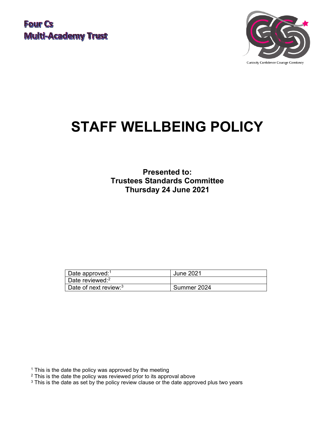

# **STAFF WELLBEING POLICY**

**Presented to: Trustees Standards Committee Thursday 24 June 2021**

| Date approved: <sup>1</sup>              | June 2021   |
|------------------------------------------|-------------|
| Date reviewed: $2$                       |             |
| $\mid$ Date of next review: <sup>3</sup> | Summer 2024 |

<sup>1</sup> This is the date the policy was approved by the meeting

- <sup>2</sup> This is the date the policy was reviewed prior to its approval above
- <sup>3</sup> This is the date as set by the policy review clause or the date approved plus two years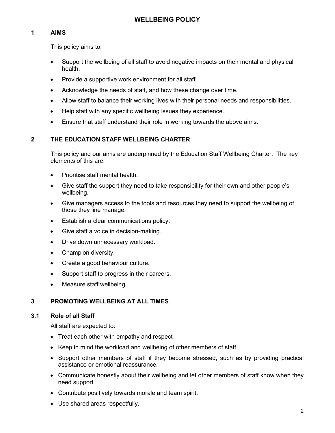## **1 AIMS**

This policy aims to:

- Support the wellbeing of all staff to avoid negative impacts on their mental and physical health.
- Provide a supportive work environment for all staff.
- Acknowledge the needs of staff, and how these change over time.
- Allow staff to balance their working lives with their personal needs and responsibilities.
- Help staff with any specific wellbeing issues they experience.
- Ensure that staff understand their role in working towards the above aims.

## **2 THE EDUCATION STAFF WELLBEING CHARTER**

This policy and our aims are underpinned by the Education Staff Wellbeing Charter. The key elements of this are:

- Prioritise staff mental health.
- Give staff the support they need to take responsibility for their own and other people's wellbeing.
- Give managers access to the tools and resources they need to support the wellbeing of those they line manage.
- Establish a clear communications policy.
- Give staff a voice in decision-making.
- Drive down unnecessary workload.
- Champion diversity.
- Create a good behaviour culture.
- Support staff to progress in their careers.
- Measure staff wellbeing.

## **3 PROMOTING WELLBEING AT ALL TIMES**

#### **3.1 Role of all Staff**

All staff are expected to:

- Treat each other with empathy and respect
- Keep in mind the workload and wellbeing of other members of staff.
- Support other members of staff if they become stressed, such as by providing practical assistance or emotional reassurance.
- Communicate honestly about their wellbeing and let other members of staff know when they need support.
- Contribute positively towards morale and team spirit.
- Use shared areas respectfully.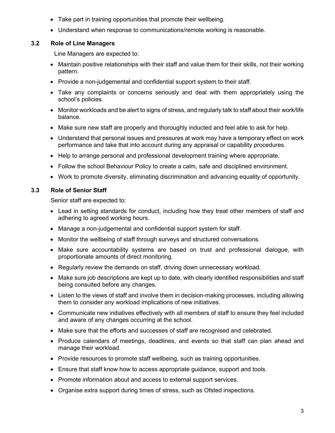- Take part in training opportunities that promote their wellbeing.
- Understand when response to communications/remote working is reasonable.

## **3.2 Role of Line Managers**

Line Managers are expected to:

- Maintain positive relationships with their staff and value them for their skills, not their working pattern.
- Provide a non-judgemental and confidential support system to their staff.
- Take any complaints or concerns seriously and deal with them appropriately using the school's policies.
- Monitor workloads and be alert to signs of stress, and regularly talk to staff about their work/life balance.
- Make sure new staff are properly and thoroughly inducted and feel able to ask for help.
- Understand that personal issues and pressures at work may have a temporary effect on work performance and take that into account during any appraisal or capability procedures.
- Help to arrange personal and professional development training where appropriate.
- Follow the school Behaviour Policy to create a calm, safe and disciplined environment.
- Work to promote diversity, eliminating discrimination and advancing equality of opportunity.

## **3.3 Role of Senior Staff**

Senior staff are expected to:

- Lead in setting standards for conduct, including how they treat other members of staff and adhering to agreed working hours.
- Manage a non-judgemental and confidential support system for staff.
- Monitor the wellbeing of staff through surveys and structured conversations.
- Make sure accountability systems are based on trust and professional dialogue, with proportionate amounts of direct monitoring.
- Regularly review the demands on staff, driving down unnecessary workload.
- Make sure job descriptions are kept up to date, with clearly identified responsibilities and staff being consulted before any changes.
- Listen to the views of staff and involve them in decision-making processes, including allowing them to consider any workload implications of new initiatives.
- Communicate new initiatives effectively with all members of staff to ensure they feel included and aware of any changes occurring at the school.
- Make sure that the efforts and successes of staff are recognised and celebrated.
- Produce calendars of meetings, deadlines, and events so that staff can plan ahead and manage their workload.
- Provide resources to promote staff wellbeing, such as training opportunities.
- Ensure that staff know how to access appropriate guidance, support and tools.
- Promote information about and access to external support services.
- Organise extra support during times of stress, such as Ofsted inspections.